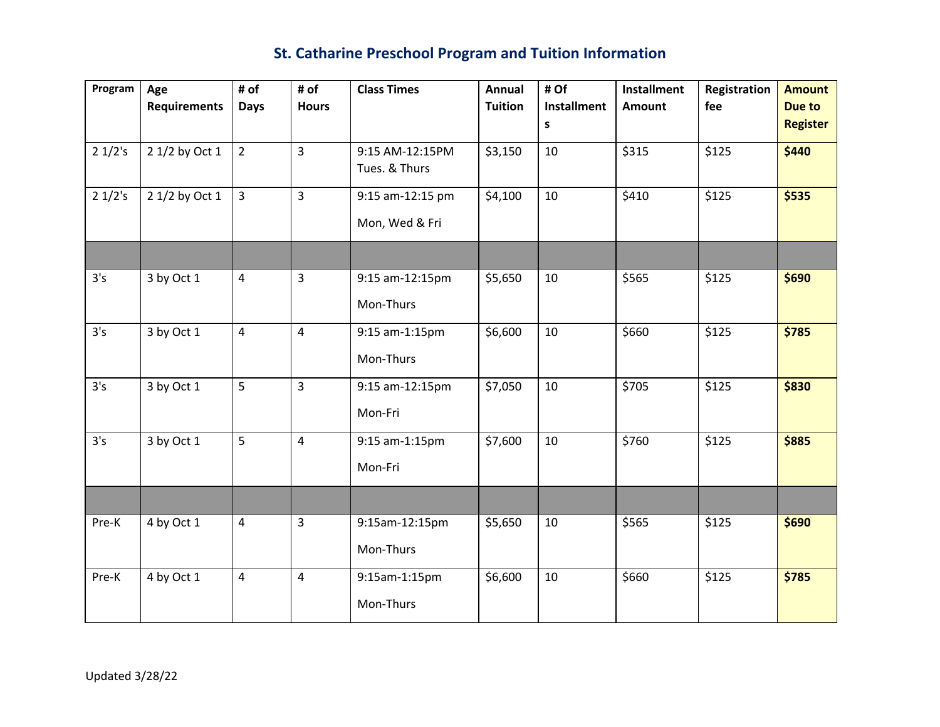## **St. Catharine Preschool Program and Tuition Information**

| Program | Age                 | # of           | # of           | <b>Class Times</b> | Annual         | # Of                    | <b>Installment</b> | Registration | <b>Amount</b>             |
|---------|---------------------|----------------|----------------|--------------------|----------------|-------------------------|--------------------|--------------|---------------------------|
|         | <b>Requirements</b> | <b>Days</b>    | <b>Hours</b>   |                    | <b>Tuition</b> | <b>Installment</b><br>s | <b>Amount</b>      | fee          | Due to<br><b>Register</b> |
|         |                     |                |                |                    |                |                         |                    |              |                           |
| 21/2's  | 2 1/2 by Oct 1      | $2^{\circ}$    | $\overline{3}$ | 9:15 AM-12:15PM    | \$3,150        | 10                      | \$315              | \$125        | \$440                     |
|         |                     |                |                | Tues. & Thurs      |                |                         |                    |              |                           |
| 21/2's  | 2 1/2 by Oct 1      | $\overline{3}$ | $\overline{3}$ | 9:15 am-12:15 pm   | \$4,100        | 10                      | \$410              | \$125        | \$535                     |
|         |                     |                |                | Mon, Wed & Fri     |                |                         |                    |              |                           |
|         |                     |                |                |                    |                |                         |                    |              |                           |
| 3's     | 3 by Oct 1          | $\overline{4}$ | $\overline{3}$ | 9:15 am-12:15pm    | \$5,650        | 10                      | \$565              | \$125        | \$690                     |
|         |                     |                |                | Mon-Thurs          |                |                         |                    |              |                           |
| 3's     | 3 by Oct 1          | $\overline{4}$ | $\overline{4}$ | 9:15 am-1:15pm     | \$6,600        | 10                      | \$660              | \$125        | \$785                     |
|         |                     |                |                | Mon-Thurs          |                |                         |                    |              |                           |
| 3's     | 3 by Oct 1          | 5              | $\overline{3}$ | 9:15 am-12:15pm    | \$7,050        | 10                      | \$705              | \$125        | \$830                     |
|         |                     |                |                | Mon-Fri            |                |                         |                    |              |                           |
| 3's     | 3 by Oct 1          | 5              | $\overline{4}$ | 9:15 am-1:15pm     | \$7,600        | 10                      | \$760              | \$125        | \$885                     |
|         |                     |                |                | Mon-Fri            |                |                         |                    |              |                           |
|         |                     |                |                |                    |                |                         |                    |              |                           |
| Pre-K   | 4 by Oct 1          | $\overline{4}$ | $\overline{3}$ | 9:15am-12:15pm     | \$5,650        | 10                      | \$565              | \$125        | \$690                     |
|         |                     |                |                | Mon-Thurs          |                |                         |                    |              |                           |
| Pre-K   | 4 by Oct 1          | $\overline{4}$ | $\overline{4}$ | 9:15am-1:15pm      | \$6,600        | 10                      | \$660              | \$125        | \$785                     |
|         |                     |                |                | Mon-Thurs          |                |                         |                    |              |                           |